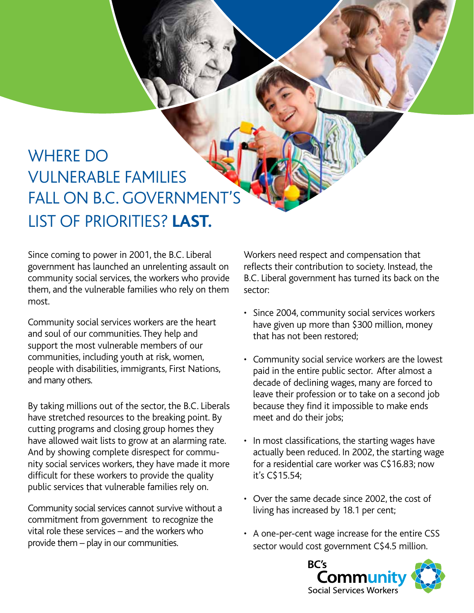## WHERE DO vulnerable families FALL ON B.C. GOVERNMENT'S list of priorities? **Last.**

Since coming to power in 2001, the B.C. Liberal government has launched an unrelenting assault on community social services, the workers who provide them, and the vulnerable families who rely on them most.

Community social services workers are the heart and soul of our communities. They help and support the most vulnerable members of our communities, including youth at risk, women, people with disabilities, immigrants, First Nations, and many others.

By taking millions out of the sector, the B.C. Liberals have stretched resources to the breaking point. By cutting programs and closing group homes they have allowed wait lists to grow at an alarming rate. And by showing complete disrespect for community social services workers, they have made it more difficult for these workers to provide the quality public services that vulnerable families rely on.

Community social services cannot survive without a commitment from government to recognize the vital role these services – and the workers who provide them – play in our communities.

Workers need respect and compensation that reflects their contribution to society. Instead, the B.C. Liberal government has turned its back on the sector:

- Since 2004, community social services workers have given up more than \$300 million, money that has not been restored;
- Community social service workers are the lowest paid in the entire public sector. After almost a decade of declining wages, many are forced to leave their profession or to take on a second job because they find it impossible to make ends meet and do their jobs;
- In most classifications, the starting wages have actually been reduced. In 2002, the starting wage for a residential care worker was C\$16.83; now it's C\$15.54;
- Over the same decade since 2002, the cost of living has increased by 18.1 per cent;
- A one-per-cent wage increase for the entire CSS sector would cost government C\$4.5 million.